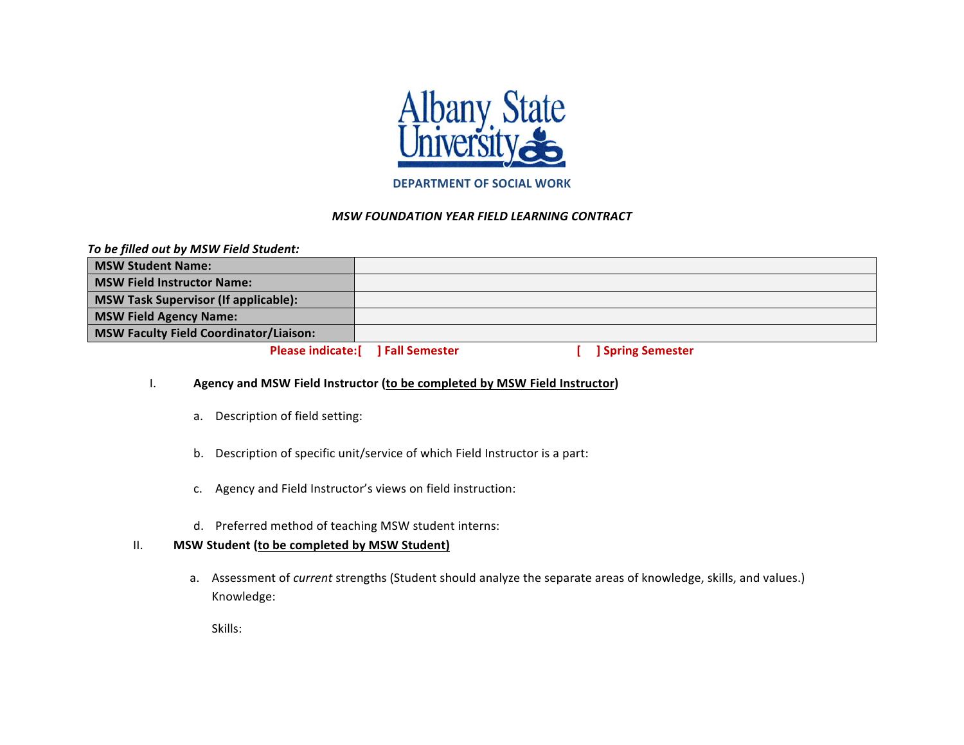

#### **DEPARTMENT OF SOCIAL WORK**

#### *MSW FOUNDATION YEAR FIELD LEARNING CONTRACT*

|  |  |  | To be filled out by MSW Field Student: |  |
|--|--|--|----------------------------------------|--|
|--|--|--|----------------------------------------|--|

| <b>MSW Student Name:</b>                    |                                    |                        |
|---------------------------------------------|------------------------------------|------------------------|
| <b>MSW Field Instructor Name:</b>           |                                    |                        |
| <b>MSW Task Supervisor (If applicable):</b> |                                    |                        |
| <b>MSW Field Agency Name:</b>               |                                    |                        |
| MSW Faculty Field Coordinator/Liaison:      |                                    |                        |
|                                             | Please indicate: [ ] Fall Semester | <b>Spring Semester</b> |

### I. **Agency and MSW Field Instructor (to be completed by MSW Field Instructor)**

- a. Description of field setting:
- b. Description of specific unit/service of which Field Instructor is a part:
- c. Agency and Field Instructor's views on field instruction:
- d. Preferred method of teaching MSW student interns:

## II. MSW Student (to be completed by MSW Student)

a. Assessment of *current* strengths (Student should analyze the separate areas of knowledge, skills, and values.) Knowledge:

Skills: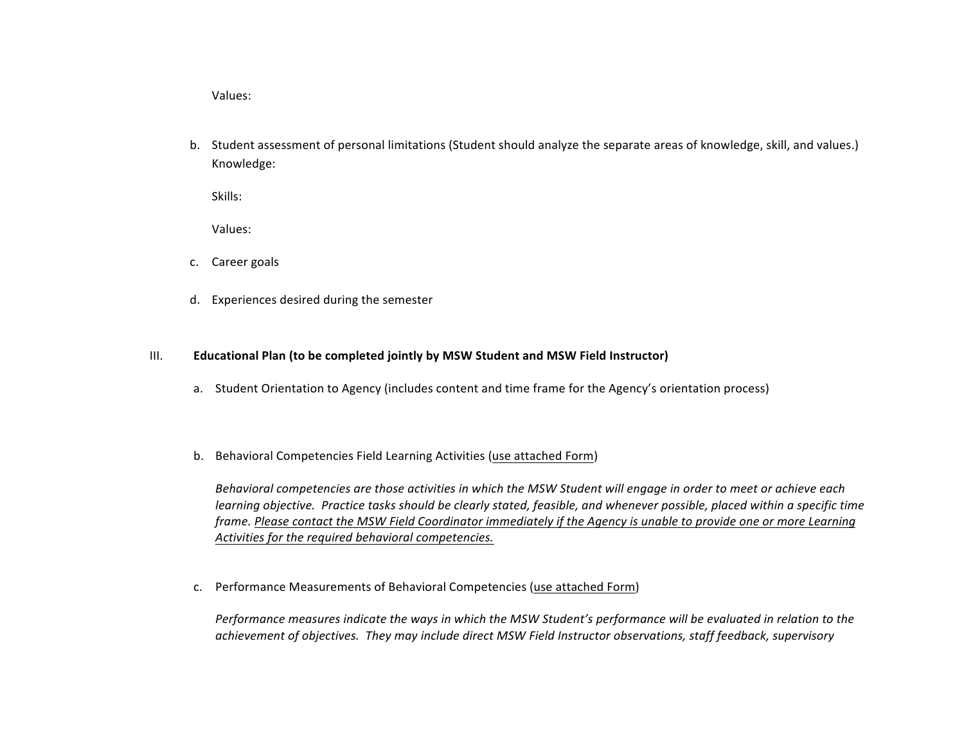Values:

b. Student assessment of personal limitations (Student should analyze the separate areas of knowledge, skill, and values.) Knowledge:

Skills:

Values:

- c. Career goals
- d. Experiences desired during the semester

#### III. **Educational Plan (to be completed jointly by MSW Student and MSW Field Instructor)**

- a. Student Orientation to Agency (includes content and time frame for the Agency's orientation process)
- b. Behavioral Competencies Field Learning Activities (use attached Form)

Behavioral competencies are those activities in which the MSW Student will engage in order to meet or achieve each *learning* objective. Practice tasks should be clearly stated, feasible, and whenever possible, placed within a specific time frame. Please contact the MSW Field Coordinator immediately if the Agency is unable to provide one or more Learning Activities for the required behavioral competencies.

c. Performance Measurements of Behavioral Competencies (use attached Form)

Performance measures indicate the ways in which the MSW Student's performance will be evaluated in relation to the achievement of objectives. They may include direct MSW Field Instructor observations, staff feedback, supervisory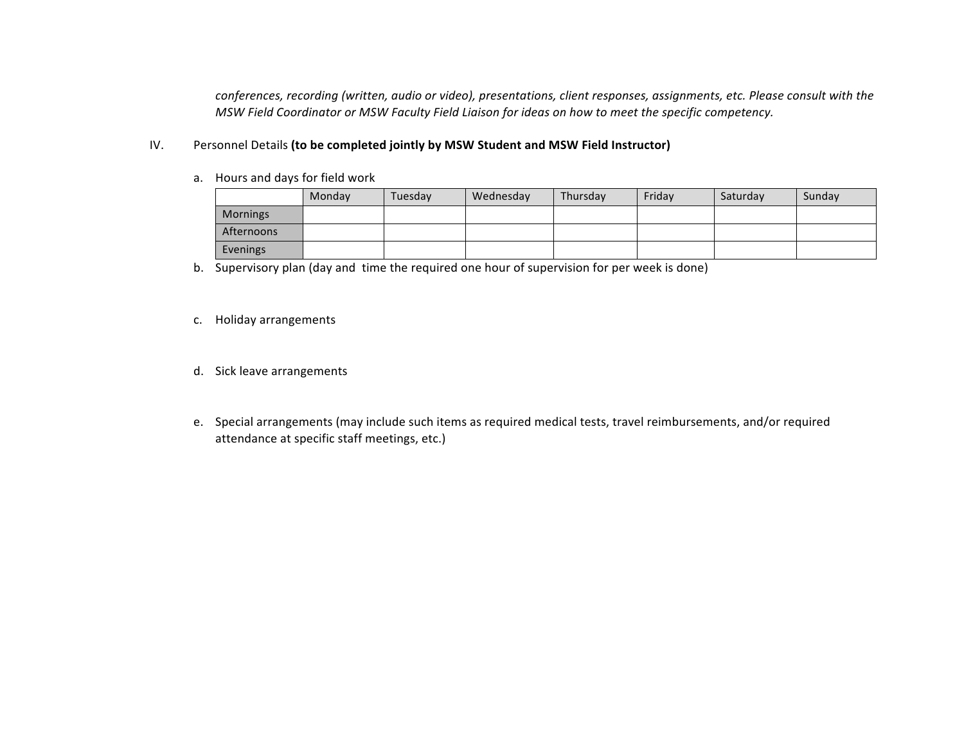conferences, recording (written, audio or video), presentations, client responses, assignments, etc. Please consult with the *MSW* Field Coordinator or MSW Faculty Field Liaison for ideas on how to meet the specific competency.

### IV. Personnel Details (to be completed jointly by MSW Student and MSW Field Instructor)

a. Hours and days for field work

|            | Monday | Tuesdav | Wednesday | Thursday | Fridav | Saturday | Sunday |
|------------|--------|---------|-----------|----------|--------|----------|--------|
| Mornings   |        |         |           |          |        |          |        |
| Afternoons |        |         |           |          |        |          |        |
| Evenings   |        |         |           |          |        |          |        |

b. Supervisory plan (day and time the required one hour of supervision for per week is done)

- c. Holiday arrangements
- d. Sick leave arrangements
- e. Special arrangements (may include such items as required medical tests, travel reimbursements, and/or required attendance at specific staff meetings, etc.)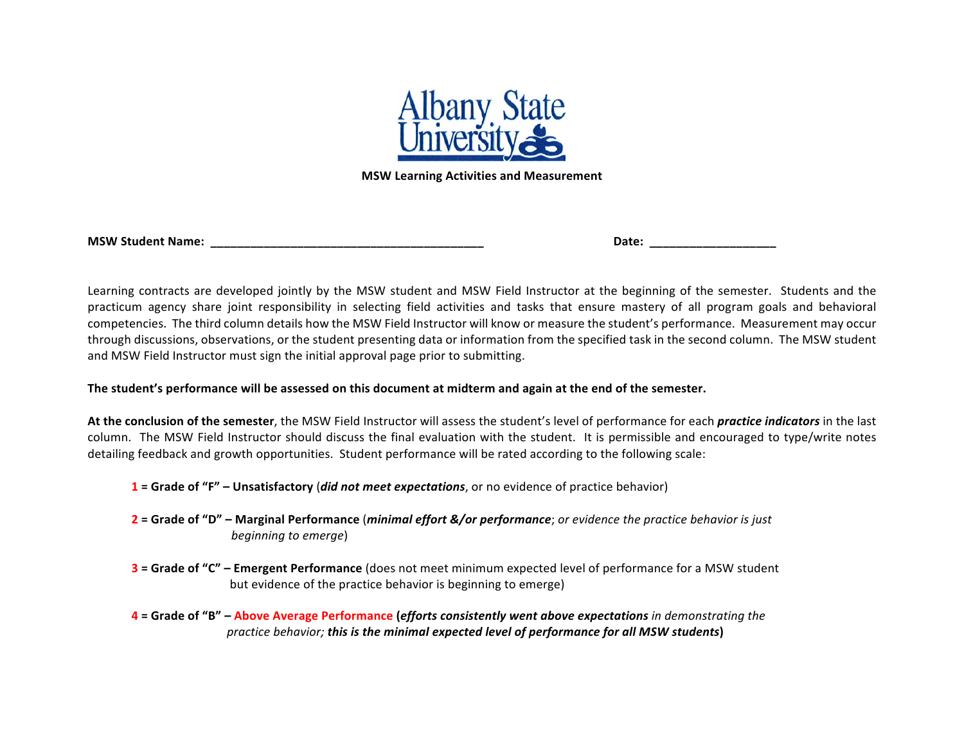

**MSW Learning Activities and Measurement**

|  |  | <b>MSW Student Name:</b> |  |
|--|--|--------------------------|--|
|--|--|--------------------------|--|

**MSW** Date:

Learning contracts are developed jointly by the MSW student and MSW Field Instructor at the beginning of the semester. Students and the practicum agency share joint responsibility in selecting field activities and tasks that ensure mastery of all program goals and behavioral competencies. The third column details how the MSW Field Instructor will know or measure the student's performance. Measurement may occur through discussions, observations, or the student presenting data or information from the specified task in the second column. The MSW student and MSW Field Instructor must sign the initial approval page prior to submitting.

The student's performance will be assessed on this document at midterm and again at the end of the semester.

At the conclusion of the semester, the MSW Field Instructor will assess the student's level of performance for each *practice indicators* in the last column. The MSW Field Instructor should discuss the final evaluation with the student. It is permissible and encouraged to type/write notes detailing feedback and growth opportunities. Student performance will be rated according to the following scale:

- **1** = Grade of "F" Unsatisfactory (*did not meet expectations*, or no evidence of practice behavior)
- **2** = Grade of "D" Marginal Performance (*minimal effort &/or performance*; *or evidence the practice behavior is just beginning to emerge*)
- **3** = Grade of "C" Emergent Performance (does not meet minimum expected level of performance for a MSW student but evidence of the practice behavior is beginning to emerge)
- **4** = Grade of "B" Above Average Performance (*efforts consistently went above expectations* in demonstrating the practice behavior; this is the minimal expected level of performance for all MSW students)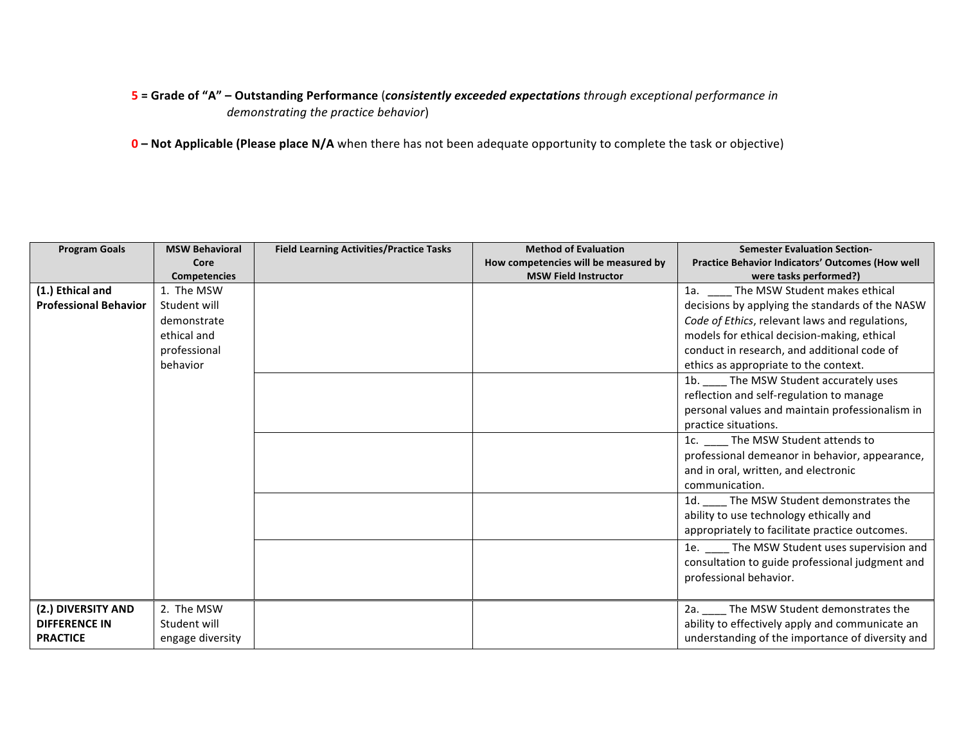# **5** = Grade of "A" – Outstanding Performance (*consistently exceeded expectations through exceptional performance in demonstrating the practice behavior*)

**0** – Not Applicable (Please place N/A when there has not been adequate opportunity to complete the task or objective)

| <b>Program Goals</b>         | <b>MSW Behavioral</b> | <b>Field Learning Activities/Practice Tasks</b> | <b>Method of Evaluation</b>          | <b>Semester Evaluation Section-</b>                     |
|------------------------------|-----------------------|-------------------------------------------------|--------------------------------------|---------------------------------------------------------|
|                              | Core                  |                                                 | How competencies will be measured by | <b>Practice Behavior Indicators' Outcomes (How well</b> |
|                              | <b>Competencies</b>   |                                                 | <b>MSW Field Instructor</b>          | were tasks performed?)                                  |
| (1.) Ethical and             | 1. The MSW            |                                                 |                                      | 1a. __ __ The MSW Student makes ethical                 |
| <b>Professional Behavior</b> | Student will          |                                                 |                                      | decisions by applying the standards of the NASW         |
|                              | demonstrate           |                                                 |                                      | Code of Ethics, relevant laws and regulations,          |
|                              | ethical and           |                                                 |                                      | models for ethical decision-making, ethical             |
|                              | professional          |                                                 |                                      | conduct in research, and additional code of             |
|                              | behavior              |                                                 |                                      | ethics as appropriate to the context.                   |
|                              |                       |                                                 |                                      | 1b. ____ The MSW Student accurately uses                |
|                              |                       |                                                 |                                      | reflection and self-regulation to manage                |
|                              |                       |                                                 |                                      | personal values and maintain professionalism in         |
|                              |                       |                                                 |                                      | practice situations.                                    |
|                              |                       |                                                 |                                      | 1c. _____ The MSW Student attends to                    |
|                              |                       |                                                 |                                      | professional demeanor in behavior, appearance,          |
|                              |                       |                                                 |                                      | and in oral, written, and electronic                    |
|                              |                       |                                                 |                                      | communication.                                          |
|                              |                       |                                                 |                                      | 1d. The MSW Student demonstrates the                    |
|                              |                       |                                                 |                                      | ability to use technology ethically and                 |
|                              |                       |                                                 |                                      | appropriately to facilitate practice outcomes.          |
|                              |                       |                                                 |                                      | 1e. The MSW Student uses supervision and                |
|                              |                       |                                                 |                                      | consultation to guide professional judgment and         |
|                              |                       |                                                 |                                      | professional behavior.                                  |
|                              |                       |                                                 |                                      |                                                         |
| (2.) DIVERSITY AND           | 2. The MSW            |                                                 |                                      | 2a. The MSW Student demonstrates the                    |
| <b>DIFFERENCE IN</b>         | Student will          |                                                 |                                      | ability to effectively apply and communicate an         |
| <b>PRACTICE</b>              | engage diversity      |                                                 |                                      | understanding of the importance of diversity and        |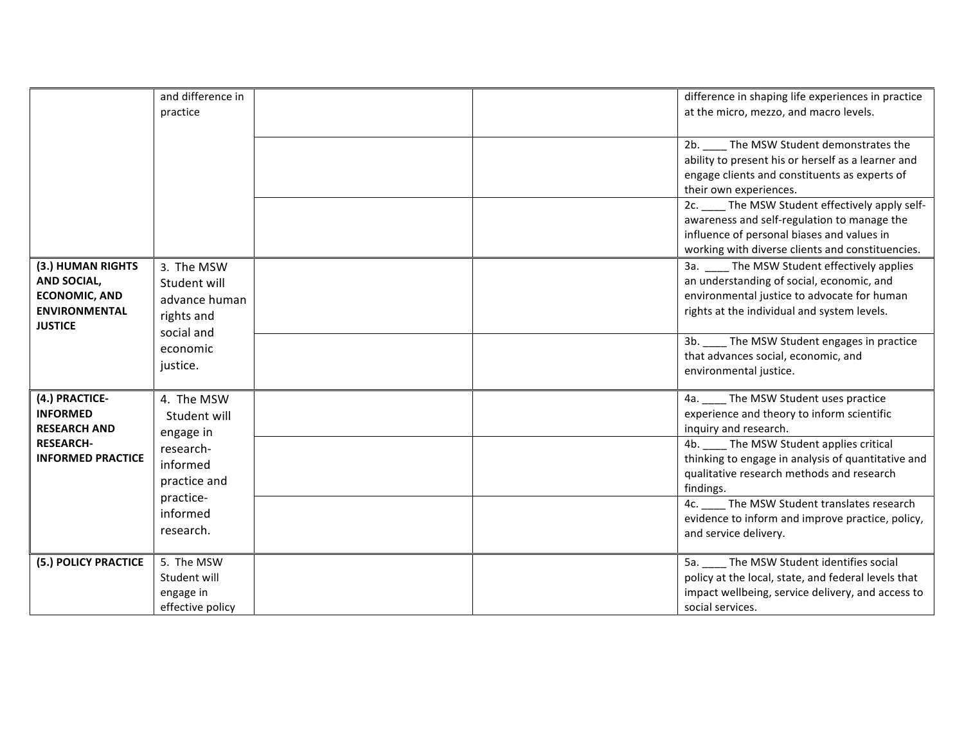|                                                                                                           | and difference in<br>practice                                           |  | difference in shaping life experiences in practice<br>at the micro, mezzo, and macro levels.                                                                                                      |
|-----------------------------------------------------------------------------------------------------------|-------------------------------------------------------------------------|--|---------------------------------------------------------------------------------------------------------------------------------------------------------------------------------------------------|
|                                                                                                           |                                                                         |  | 2b. The MSW Student demonstrates the<br>ability to present his or herself as a learner and<br>engage clients and constituents as experts of<br>their own experiences.                             |
|                                                                                                           |                                                                         |  | 2c. ____ The MSW Student effectively apply self-<br>awareness and self-regulation to manage the<br>influence of personal biases and values in<br>working with diverse clients and constituencies. |
| (3.) HUMAN RIGHTS<br><b>AND SOCIAL,</b><br><b>ECONOMIC, AND</b><br><b>ENVIRONMENTAL</b><br><b>JUSTICE</b> | 3. The MSW<br>Student will<br>advance human<br>rights and<br>social and |  | 3a. The MSW Student effectively applies<br>an understanding of social, economic, and<br>environmental justice to advocate for human<br>rights at the individual and system levels.                |
|                                                                                                           | economic<br>justice.                                                    |  | 3b. ____ The MSW Student engages in practice<br>that advances social, economic, and<br>environmental justice.                                                                                     |
| (4.) PRACTICE-<br><b>INFORMED</b><br><b>RESEARCH AND</b>                                                  | 4. The MSW<br>Student will<br>engage in                                 |  | 4a. ____ The MSW Student uses practice<br>experience and theory to inform scientific<br>inquiry and research.                                                                                     |
| <b>RESEARCH-</b><br><b>INFORMED PRACTICE</b>                                                              | research-<br>informed<br>practice and                                   |  | 4b. The MSW Student applies critical<br>thinking to engage in analysis of quantitative and<br>qualitative research methods and research<br>findings.                                              |
|                                                                                                           | practice-<br>informed<br>research.                                      |  | 4c. The MSW Student translates research<br>evidence to inform and improve practice, policy,<br>and service delivery.                                                                              |
| (5.) POLICY PRACTICE                                                                                      | 5. The MSW<br>Student will<br>engage in<br>effective policy             |  | 5a. The MSW Student identifies social<br>policy at the local, state, and federal levels that<br>impact wellbeing, service delivery, and access to<br>social services.                             |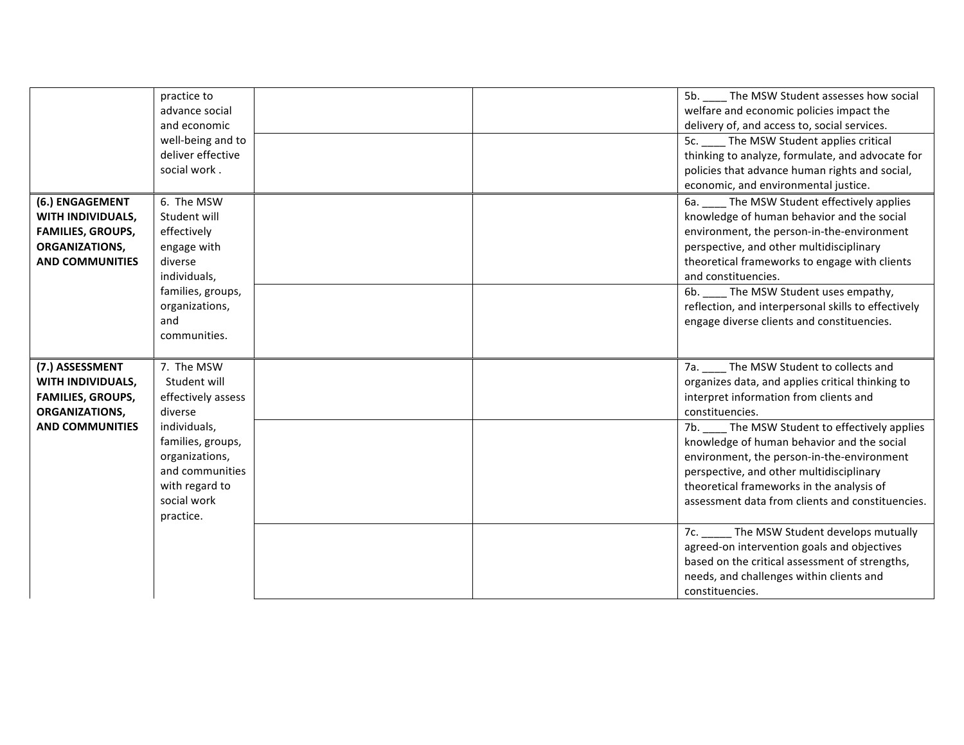|                          | practice to        |  | 5b. ____ The MSW Student assesses how social        |
|--------------------------|--------------------|--|-----------------------------------------------------|
|                          | advance social     |  | welfare and economic policies impact the            |
|                          | and economic       |  | delivery of, and access to, social services.        |
|                          | well-being and to  |  | 5c. The MSW Student applies critical                |
|                          | deliver effective  |  | thinking to analyze, formulate, and advocate for    |
|                          | social work.       |  | policies that advance human rights and social,      |
|                          |                    |  | economic, and environmental justice.                |
| (6.) ENGAGEMENT          | 6. The MSW         |  | 6a. The MSW Student effectively applies             |
| WITH INDIVIDUALS,        | Student will       |  | knowledge of human behavior and the social          |
| <b>FAMILIES, GROUPS,</b> | effectively        |  | environment, the person-in-the-environment          |
| ORGANIZATIONS,           | engage with        |  | perspective, and other multidisciplinary            |
| <b>AND COMMUNITIES</b>   | diverse            |  | theoretical frameworks to engage with clients       |
|                          | individuals,       |  | and constituencies.                                 |
|                          | families, groups,  |  | 6b. The MSW Student uses empathy,                   |
|                          | organizations,     |  | reflection, and interpersonal skills to effectively |
|                          | and                |  | engage diverse clients and constituencies.          |
|                          | communities.       |  |                                                     |
|                          |                    |  |                                                     |
| (7.) ASSESSMENT          | 7. The MSW         |  | The MSW Student to collects and<br>7а. —            |
| WITH INDIVIDUALS,        | Student will       |  | organizes data, and applies critical thinking to    |
| <b>FAMILIES, GROUPS,</b> | effectively assess |  | interpret information from clients and              |
| ORGANIZATIONS,           | diverse            |  | constituencies.                                     |
| <b>AND COMMUNITIES</b>   | individuals,       |  | 7b. ____ The MSW Student to effectively applies     |
|                          | families, groups,  |  | knowledge of human behavior and the social          |
|                          | organizations,     |  | environment, the person-in-the-environment          |
|                          | and communities    |  | perspective, and other multidisciplinary            |
|                          | with regard to     |  | theoretical frameworks in the analysis of           |
|                          | social work        |  | assessment data from clients and constituencies.    |
|                          | practice.          |  |                                                     |
|                          |                    |  | 7c. ______ The MSW Student develops mutually        |
|                          |                    |  |                                                     |
|                          |                    |  | agreed-on intervention goals and objectives         |
|                          |                    |  | based on the critical assessment of strengths,      |
|                          |                    |  | needs, and challenges within clients and            |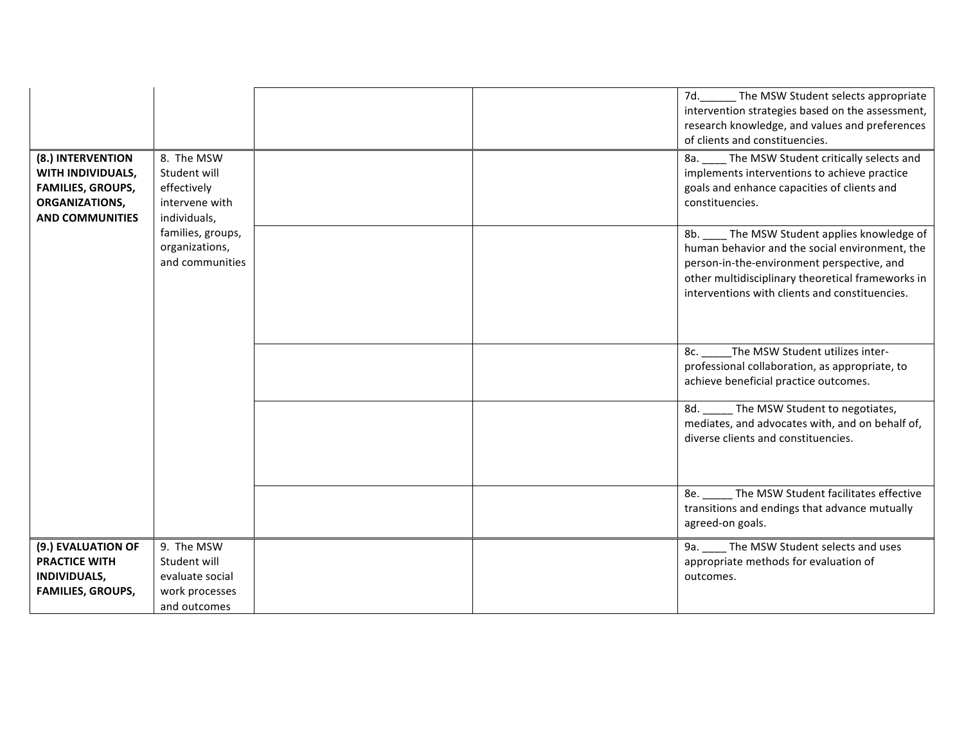| (8.) INTERVENTION<br>WITH INDIVIDUALS,<br><b>FAMILIES, GROUPS,</b><br>ORGANIZATIONS,<br><b>AND COMMUNITIES</b> | 8. The MSW<br>Student will<br>effectively<br>intervene with<br>individuals,     |  | 7d. The MSW Student selects appropriate<br>intervention strategies based on the assessment,<br>research knowledge, and values and preferences<br>of clients and constituencies.<br>8a. ____ The MSW Student critically selects and<br>implements interventions to achieve practice<br>goals and enhance capacities of clients and<br>constituencies. |
|----------------------------------------------------------------------------------------------------------------|---------------------------------------------------------------------------------|--|------------------------------------------------------------------------------------------------------------------------------------------------------------------------------------------------------------------------------------------------------------------------------------------------------------------------------------------------------|
|                                                                                                                | families, groups,<br>organizations,<br>and communities                          |  | 8b. ____ The MSW Student applies knowledge of<br>human behavior and the social environment, the<br>person-in-the-environment perspective, and<br>other multidisciplinary theoretical frameworks in<br>interventions with clients and constituencies.                                                                                                 |
|                                                                                                                |                                                                                 |  | The MSW Student utilizes inter-<br>8c.<br>professional collaboration, as appropriate, to<br>achieve beneficial practice outcomes.                                                                                                                                                                                                                    |
|                                                                                                                |                                                                                 |  | _ The MSW Student to negotiates,<br>8d.<br>mediates, and advocates with, and on behalf of,<br>diverse clients and constituencies.                                                                                                                                                                                                                    |
|                                                                                                                |                                                                                 |  | The MSW Student facilitates effective<br>8e.<br>transitions and endings that advance mutually<br>agreed-on goals.                                                                                                                                                                                                                                    |
| (9.) EVALUATION OF<br><b>PRACTICE WITH</b><br>INDIVIDUALS,<br><b>FAMILIES, GROUPS,</b>                         | 9. The MSW<br>Student will<br>evaluate social<br>work processes<br>and outcomes |  | 9a. The MSW Student selects and uses<br>appropriate methods for evaluation of<br>outcomes.                                                                                                                                                                                                                                                           |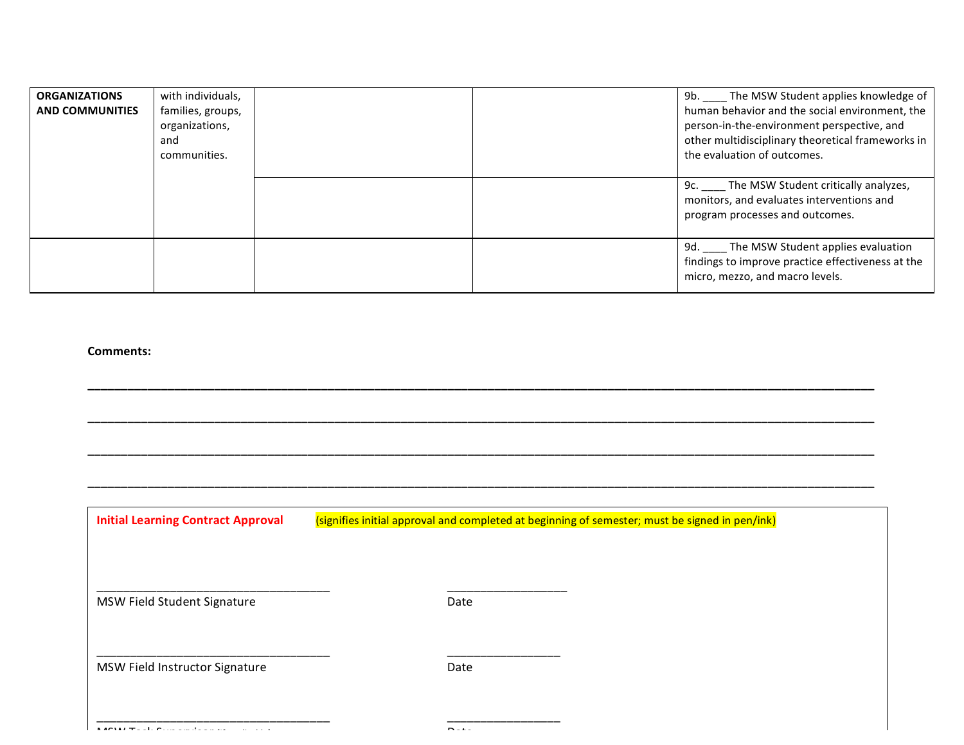| <b>ORGANIZATIONS</b><br><b>AND COMMUNITIES</b> | with individuals,<br>families, groups,<br>organizations,<br>and<br>communities. |  | The MSW Student applies knowledge of<br>9b. l<br>human behavior and the social environment, the<br>person-in-the-environment perspective, and<br>other multidisciplinary theoretical frameworks in<br>the evaluation of outcomes. |
|------------------------------------------------|---------------------------------------------------------------------------------|--|-----------------------------------------------------------------------------------------------------------------------------------------------------------------------------------------------------------------------------------|
|                                                |                                                                                 |  | 9c. The MSW Student critically analyzes,<br>monitors, and evaluates interventions and<br>program processes and outcomes.                                                                                                          |
|                                                |                                                                                 |  | 9d. _____ The MSW Student applies evaluation<br>findings to improve practice effectiveness at the<br>micro, mezzo, and macro levels.                                                                                              |

**\_\_\_\_\_\_\_\_\_\_\_\_\_\_\_\_\_\_\_\_\_\_\_\_\_\_\_\_\_\_\_\_\_\_\_\_\_\_\_\_\_\_\_\_\_\_\_\_\_\_\_\_\_\_\_\_\_\_\_\_\_\_\_\_\_\_\_\_\_\_\_\_\_\_\_\_\_\_\_\_\_\_\_\_\_\_\_\_\_\_\_\_\_\_\_\_\_\_\_\_\_\_\_\_\_\_\_\_\_\_\_\_\_\_\_\_\_\_**

**\_\_\_\_\_\_\_\_\_\_\_\_\_\_\_\_\_\_\_\_\_\_\_\_\_\_\_\_\_\_\_\_\_\_\_\_\_\_\_\_\_\_\_\_\_\_\_\_\_\_\_\_\_\_\_\_\_\_\_\_\_\_\_\_\_\_\_\_\_\_\_\_\_\_\_\_\_\_\_\_\_\_\_\_\_\_\_\_\_\_\_\_\_\_\_\_\_\_\_\_\_\_\_\_\_\_\_\_\_\_\_\_\_\_\_\_\_\_**

**\_\_\_\_\_\_\_\_\_\_\_\_\_\_\_\_\_\_\_\_\_\_\_\_\_\_\_\_\_\_\_\_\_\_\_\_\_\_\_\_\_\_\_\_\_\_\_\_\_\_\_\_\_\_\_\_\_\_\_\_\_\_\_\_\_\_\_\_\_\_\_\_\_\_\_\_\_\_\_\_\_\_\_\_\_\_\_\_\_\_\_\_\_\_\_\_\_\_\_\_\_\_\_\_\_\_\_\_\_\_\_\_\_\_\_\_\_\_**

**\_\_\_\_\_\_\_\_\_\_\_\_\_\_\_\_\_\_\_\_\_\_\_\_\_\_\_\_\_\_\_\_\_\_\_\_\_\_\_\_\_\_\_\_\_\_\_\_\_\_\_\_\_\_\_\_\_\_\_\_\_\_\_\_\_\_\_\_\_\_\_\_\_\_\_\_\_\_\_\_\_\_\_\_\_\_\_\_\_\_\_\_\_\_\_\_\_\_\_\_\_\_\_\_\_\_\_\_\_\_\_\_\_\_\_\_\_\_**

### **Comments:**

**Initial Learning Contract Approval** (signifies initial approval and completed at beginning of semester; must be signed in pen/ink)

MSW Field Student Signature **Matubes** Date

\_\_\_\_\_\_\_\_\_\_\_\_\_\_\_\_\_\_\_\_\_\_\_\_\_\_\_\_\_\_\_\_\_\_\_ \_\_\_\_\_\_\_\_\_\_\_\_\_\_\_\_\_\_

\_\_\_\_\_\_\_\_\_\_\_\_\_\_\_\_\_\_\_\_\_\_\_\_\_\_\_\_\_\_\_\_\_\_\_ \_\_\_\_\_\_\_\_\_\_\_\_\_\_\_\_\_

\_\_\_\_\_\_\_\_\_\_\_\_\_\_\_\_\_\_\_\_\_\_\_\_\_\_\_\_\_\_\_\_\_\_\_ \_\_\_\_\_\_\_\_\_\_\_\_\_\_\_\_\_ 

MSW Field Instructor Signature **Communist Contract Contract Contract Contract Contract Contract Contract Contract**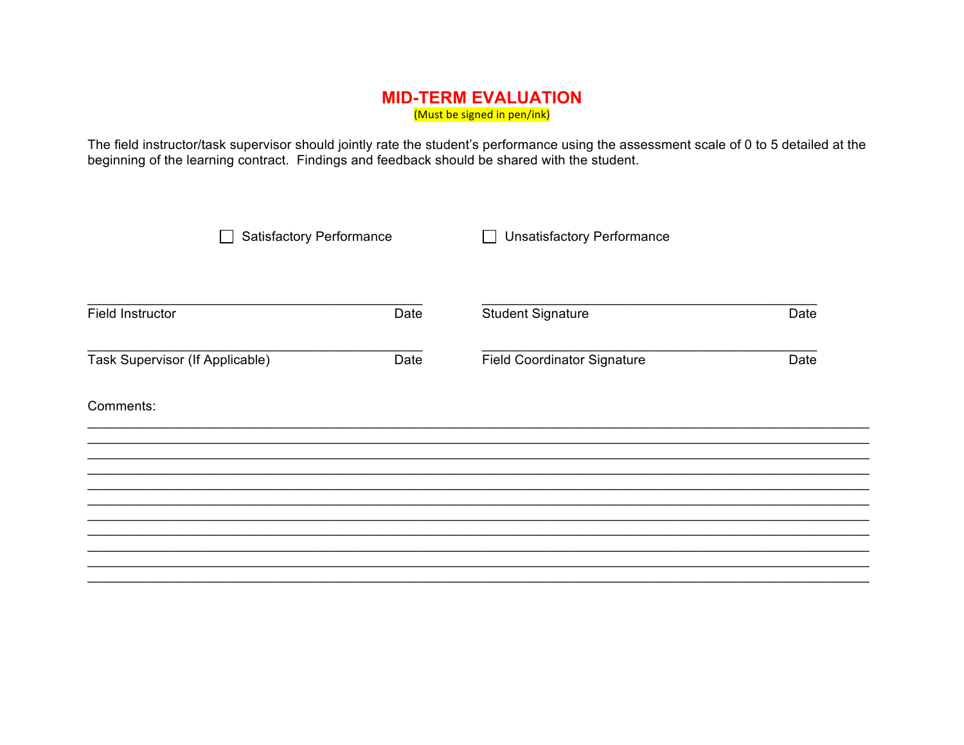# **MID-TERM EVALUATION** (Must be signed in pen/ink)

The field instructor/task supervisor should jointly rate the student's performance using the assessment scale of 0 to 5 detailed at the beginning of the learning contract. Findings and feedback should be shared with the st

| <b>Satisfactory Performance</b> |      | <b>Unsatisfactory Performance</b>  |      |
|---------------------------------|------|------------------------------------|------|
| <b>Field Instructor</b>         | Date | <b>Student Signature</b>           | Date |
| Task Supervisor (If Applicable) | Date | <b>Field Coordinator Signature</b> | Date |
| Comments:                       |      |                                    |      |
|                                 |      |                                    |      |
|                                 |      |                                    |      |
|                                 |      |                                    |      |